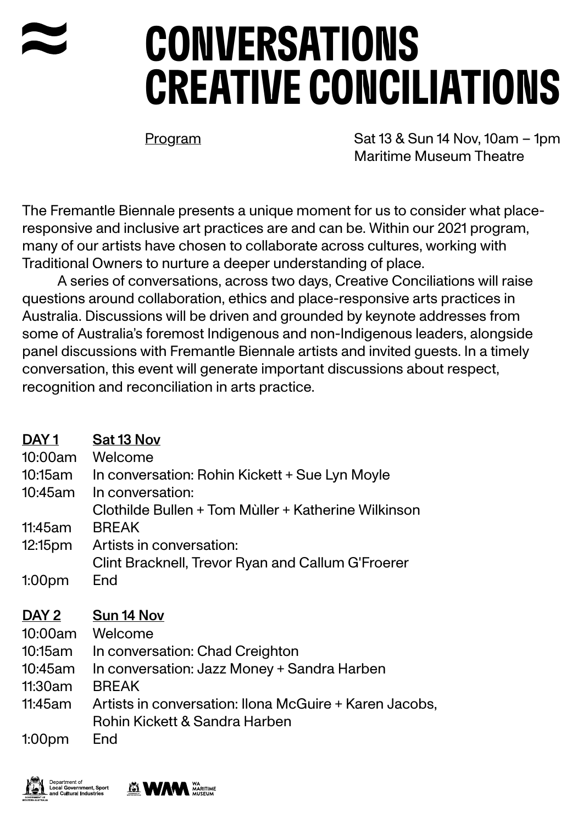## CONVERSATIONS CREATIVE CONCILIATIONS

Program Sat 13 & Sun 14 Nov, 10am – 1pm Maritime Museum Theatre

The Fremantle Biennale presents a unique moment for us to consider what placeresponsive and inclusive art practices are and can be. Within our 2021 program, many of our artists have chosen to collaborate across cultures, working with Traditional Owners to nurture a deeper understanding of place.

A series of conversations, across two days, Creative Conciliations will raise questions around collaboration, ethics and place-responsive arts practices in Australia. Discussions will be driven and grounded by keynote addresses from some of Australia's foremost Indigenous and non-Indigenous leaders, alongside panel discussions with Fremantle Biennale artists and invited guests. In a timely conversation, this event will generate important discussions about respect, recognition and reconciliation in arts practice.

| DAY <sub>1</sub><br>10:00am | Sat 13 Nov<br>Welcome                                                                   |
|-----------------------------|-----------------------------------------------------------------------------------------|
| 10:15am                     | In conversation: Rohin Kickett + Sue Lyn Moyle                                          |
| 10:45am                     | In conversation:<br>Clothilde Bullen + Tom Mùller + Katherine Wilkinson                 |
| 11:45am                     | <b>BREAK</b>                                                                            |
| 12:15 <sub>pm</sub>         | Artists in conversation:                                                                |
|                             | Clint Bracknell, Trevor Ryan and Callum G'Froerer                                       |
| 1:00 <sub>pm</sub>          | End                                                                                     |
|                             |                                                                                         |
| DAY 2                       | Sun 14 Nov                                                                              |
| 10:00am                     | Welcome                                                                                 |
| 10:15am                     | In conversation: Chad Creighton                                                         |
| 10:45am                     | In conversation: Jazz Money + Sandra Harben                                             |
| 11:30am                     | <b>BREAK</b>                                                                            |
| 11:45am                     | Artists in conversation: Ilona McGuire + Karen Jacobs,<br>Rohin Kickett & Sandra Harben |

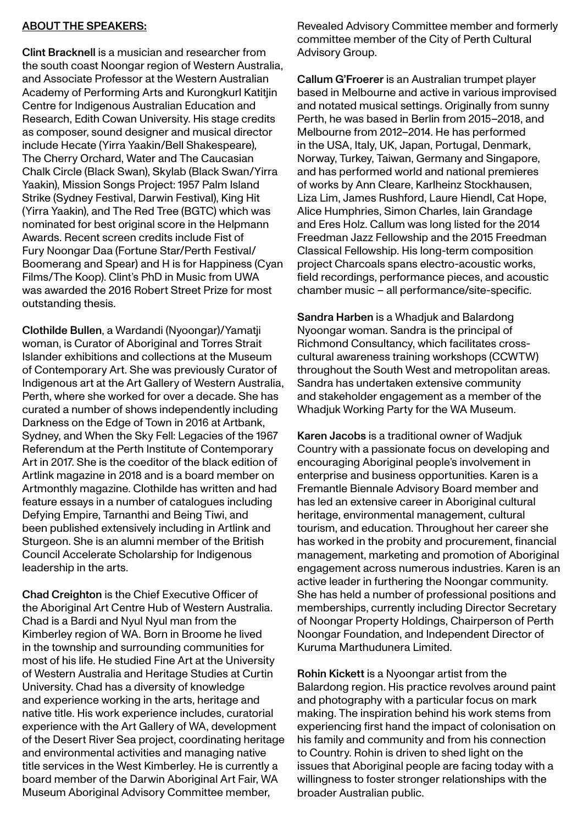## ABOUT THE SPEAKERS:

Clint Bracknell is a musician and researcher from the south coast Noongar region of Western Australia, and Associate Professor at the Western Australian Academy of Performing Arts and Kurongkurl Katitjin Centre for Indigenous Australian Education and Research, Edith Cowan University. His stage credits as composer, sound designer and musical director include Hecate (Yirra Yaakin/Bell Shakespeare), The Cherry Orchard, Water and The Caucasian Chalk Circle (Black Swan), Skylab (Black Swan/Yirra Yaakin), Mission Songs Project: 1957 Palm Island Strike (Sydney Festival, Darwin Festival), King Hit (Yirra Yaakin), and The Red Tree (BGTC) which was nominated for best original score in the Helpmann Awards. Recent screen credits include Fist of Fury Noongar Daa (Fortune Star/Perth Festival/ Boomerang and Spear) and H is for Happiness (Cyan Films/The Koop). Clint's PhD in Music from UWA was awarded the 2016 Robert Street Prize for most outstanding thesis.

Clothilde Bullen, a Wardandi (Nyoongar)/Yamatji woman, is Curator of Aboriginal and Torres Strait Islander exhibitions and collections at the Museum of Contemporary Art. She was previously Curator of Indigenous art at the Art Gallery of Western Australia, Perth, where she worked for over a decade. She has curated a number of shows independently including Darkness on the Edge of Town in 2016 at Artbank, Sydney, and When the Sky Fell: Legacies of the 1967 Referendum at the Perth Institute of Contemporary Art in 2017. She is the coeditor of the black edition of Artlink magazine in 2018 and is a board member on Artmonthly magazine. Clothilde has written and had feature essays in a number of catalogues including Defying Empire, Tarnanthi and Being Tiwi, and been published extensively including in Artlink and Sturgeon. She is an alumni member of the British Council Accelerate Scholarship for Indigenous leadership in the arts.

Chad Creighton is the Chief Executive Officer of the Aboriginal Art Centre Hub of Western Australia. Chad is a Bardi and Nyul Nyul man from the Kimberley region of WA. Born in Broome he lived in the township and surrounding communities for most of his life. He studied Fine Art at the University of Western Australia and Heritage Studies at Curtin University. Chad has a diversity of knowledge and experience working in the arts, heritage and native title. His work experience includes, curatorial experience with the Art Gallery of WA, development of the Desert River Sea project, coordinating heritage and environmental activities and managing native title services in the West Kimberley. He is currently a board member of the Darwin Aboriginal Art Fair, WA Museum Aboriginal Advisory Committee member,

Revealed Advisory Committee member and formerly committee member of the City of Perth Cultural Advisory Group.

Callum G'Froerer is an Australian trumpet player based in Melbourne and active in various improvised and notated musical settings. Originally from sunny Perth, he was based in Berlin from 2015–2018, and Melbourne from 2012–2014. He has performed in the USA, Italy, UK, Japan, Portugal, Denmark, Norway, Turkey, Taiwan, Germany and Singapore, and has performed world and national premieres of works by Ann Cleare, Karlheinz Stockhausen, Liza Lim, James Rushford, Laure Hiendl, Cat Hope, Alice Humphries, Simon Charles, Iain Grandage and Eres Holz. Callum was long listed for the 2014 Freedman Jazz Fellowship and the 2015 Freedman Classical Fellowship. His long-term composition project Charcoals spans electro-acoustic works, field recordings, performance pieces, and acoustic chamber music – all performance/site-specific.

Sandra Harben is a Whadjuk and Balardong Nyoongar woman. Sandra is the principal of Richmond Consultancy, which facilitates crosscultural awareness training workshops (CCWTW) throughout the South West and metropolitan areas. Sandra has undertaken extensive community and stakeholder engagement as a member of the Whadjuk Working Party for the WA Museum.

Karen Jacobs is a traditional owner of Wadjuk Country with a passionate focus on developing and encouraging Aboriginal people's involvement in enterprise and business opportunities. Karen is a Fremantle Biennale Advisory Board member and has led an extensive career in Aboriginal cultural heritage, environmental management, cultural tourism, and education. Throughout her career she has worked in the probity and procurement, financial management, marketing and promotion of Aboriginal engagement across numerous industries. Karen is an active leader in furthering the Noongar community. She has held a number of professional positions and memberships, currently including Director Secretary of Noongar Property Holdings, Chairperson of Perth Noongar Foundation, and Independent Director of Kuruma Marthudunera Limited.

Rohin Kickett is a Nyoongar artist from the Balardong region. His practice revolves around paint and photography with a particular focus on mark making. The inspiration behind his work stems from experiencing first hand the impact of colonisation on his family and community and from his connection to Country. Rohin is driven to shed light on the issues that Aboriginal people are facing today with a willingness to foster stronger relationships with the broader Australian public.